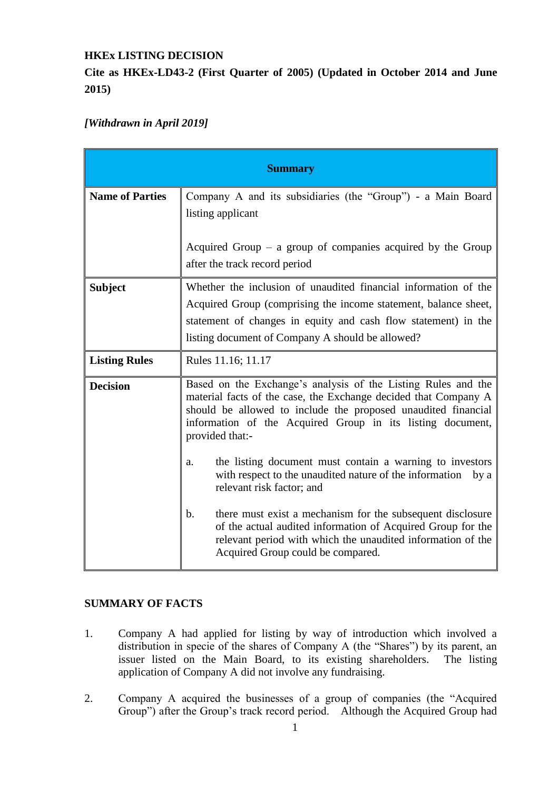## **HKEx LISTING DECISION**

**Cite as HKEx-LD43-2 (First Quarter of 2005) (Updated in October 2014 and June 2015)**

# *[Withdrawn in April 2019]*

| <b>Summary</b>         |                                                                                                                                                                                                                                                                                    |
|------------------------|------------------------------------------------------------------------------------------------------------------------------------------------------------------------------------------------------------------------------------------------------------------------------------|
| <b>Name of Parties</b> | Company A and its subsidiaries (the "Group") - a Main Board<br>listing applicant                                                                                                                                                                                                   |
|                        | Acquired Group $-$ a group of companies acquired by the Group<br>after the track record period                                                                                                                                                                                     |
| <b>Subject</b>         | Whether the inclusion of unaudited financial information of the<br>Acquired Group (comprising the income statement, balance sheet,<br>statement of changes in equity and cash flow statement) in the<br>listing document of Company A should be allowed?                           |
| <b>Listing Rules</b>   | Rules 11.16; 11.17                                                                                                                                                                                                                                                                 |
| <b>Decision</b>        | Based on the Exchange's analysis of the Listing Rules and the<br>material facts of the case, the Exchange decided that Company A<br>should be allowed to include the proposed unaudited financial<br>information of the Acquired Group in its listing document,<br>provided that:- |
|                        | the listing document must contain a warning to investors<br>a.<br>with respect to the unaudited nature of the information<br>by a<br>relevant risk factor; and                                                                                                                     |
|                        | there must exist a mechanism for the subsequent disclosure<br>b.<br>of the actual audited information of Acquired Group for the<br>relevant period with which the unaudited information of the<br>Acquired Group could be compared.                                                |

# **SUMMARY OF FACTS**

- 1. Company A had applied for listing by way of introduction which involved a distribution in specie of the shares of Company A (the "Shares") by its parent, an issuer listed on the Main Board, to its existing shareholders. The listing application of Company A did not involve any fundraising.
- 2. Company A acquired the businesses of a group of companies (the "Acquired Group") after the Group's track record period. Although the Acquired Group had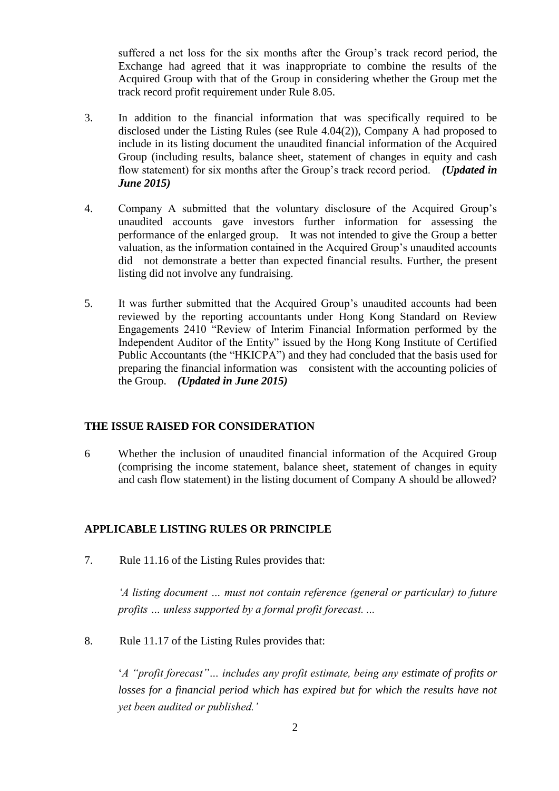suffered a net loss for the six months after the Group's track record period, the Exchange had agreed that it was inappropriate to combine the results of the Acquired Group with that of the Group in considering whether the Group met the track record profit requirement under Rule 8.05.

- 3. In addition to the financial information that was specifically required to be disclosed under the Listing Rules (see Rule 4.04(2)), Company A had proposed to include in its listing document the unaudited financial information of the Acquired Group (including results, balance sheet, statement of changes in equity and cash flow statement) for six months after the Group's track record period. *(Updated in June 2015)*
- 4. Company A submitted that the voluntary disclosure of the Acquired Group's unaudited accounts gave investors further information for assessing the performance of the enlarged group. It was not intended to give the Group a better valuation, as the information contained in the Acquired Group's unaudited accounts did not demonstrate a better than expected financial results. Further, the present listing did not involve any fundraising.
- 5. It was further submitted that the Acquired Group's unaudited accounts had been reviewed by the reporting accountants under Hong Kong Standard on Review Engagements 2410 "Review of Interim Financial Information performed by the Independent Auditor of the Entity" issued by the Hong Kong Institute of Certified Public Accountants (the "HKICPA") and they had concluded that the basis used for preparing the financial information was consistent with the accounting policies of the Group. *(Updated in June 2015)*

### **THE ISSUE RAISED FOR CONSIDERATION**

6 Whether the inclusion of unaudited financial information of the Acquired Group (comprising the income statement, balance sheet, statement of changes in equity and cash flow statement) in the listing document of Company A should be allowed?

# **APPLICABLE LISTING RULES OR PRINCIPLE**

7. Rule 11.16 of the Listing Rules provides that:

*'A listing document … must not contain reference (general or particular) to future profits … unless supported by a formal profit forecast. ...*

8. Rule 11.17 of the Listing Rules provides that:

'*A "profit forecast"… includes any profit estimate, being any estimate of profits or losses for a financial period which has expired but for which the results have not yet been audited or published.'*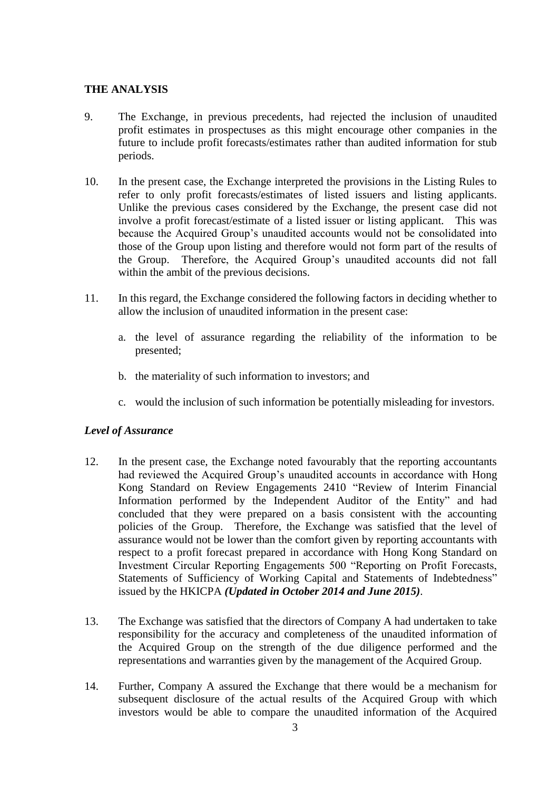#### **THE ANALYSIS**

- 9. The Exchange, in previous precedents, had rejected the inclusion of unaudited profit estimates in prospectuses as this might encourage other companies in the future to include profit forecasts/estimates rather than audited information for stub periods.
- 10. In the present case, the Exchange interpreted the provisions in the Listing Rules to refer to only profit forecasts/estimates of listed issuers and listing applicants. Unlike the previous cases considered by the Exchange, the present case did not involve a profit forecast/estimate of a listed issuer or listing applicant. This was because the Acquired Group's unaudited accounts would not be consolidated into those of the Group upon listing and therefore would not form part of the results of the Group. Therefore, the Acquired Group's unaudited accounts did not fall within the ambit of the previous decisions.
- 11. In this regard, the Exchange considered the following factors in deciding whether to allow the inclusion of unaudited information in the present case:
	- a. the level of assurance regarding the reliability of the information to be presented;
	- b. the materiality of such information to investors; and
	- c. would the inclusion of such information be potentially misleading for investors.

#### *Level of Assurance*

- 12. In the present case, the Exchange noted favourably that the reporting accountants had reviewed the Acquired Group's unaudited accounts in accordance with Hong Kong Standard on Review Engagements 2410 "Review of Interim Financial Information performed by the Independent Auditor of the Entity" and had concluded that they were prepared on a basis consistent with the accounting policies of the Group. Therefore, the Exchange was satisfied that the level of assurance would not be lower than the comfort given by reporting accountants with respect to a profit forecast prepared in accordance with Hong Kong Standard on Investment Circular Reporting Engagements 500 "Reporting on Profit Forecasts, Statements of Sufficiency of Working Capital and Statements of Indebtedness" issued by the HKICPA *(Updated in October 2014 and June 2015)*.
- 13. The Exchange was satisfied that the directors of Company A had undertaken to take responsibility for the accuracy and completeness of the unaudited information of the Acquired Group on the strength of the due diligence performed and the representations and warranties given by the management of the Acquired Group.
- 14. Further, Company A assured the Exchange that there would be a mechanism for subsequent disclosure of the actual results of the Acquired Group with which investors would be able to compare the unaudited information of the Acquired